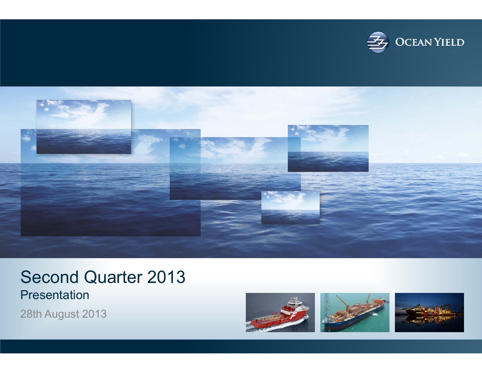



#### Second Quarter 2013 Presentation

28th August 2013

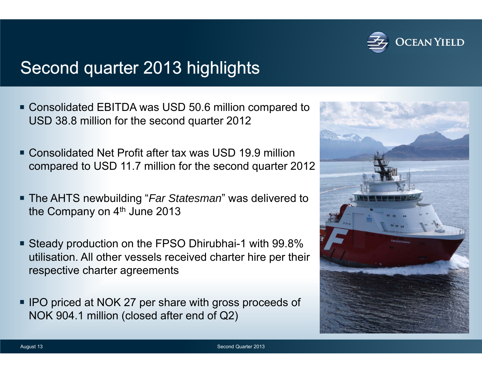

## Second quarter 2013 highlights

- Consolidated EBITDA was USD 50.6 million compared to USD 38.8 million for the second quarter 2012
- Consolidated Net Profit after tax was USD 19.9 million compared to USD 11.7 million for the second quarter 2012
- The AHTS newbuilding "*Far Statesman*" was delivered to the Company on 4<sup>th</sup> June 2013
- Steady production on the FPSO Dhirubhai-1 with 99.8% utilisation. All other vessels received charter hire per their respective charter agreements
- **IPO priced at NOK 27 per share with gross proceeds of** NOK 904.1 million (closed after end of Q2)

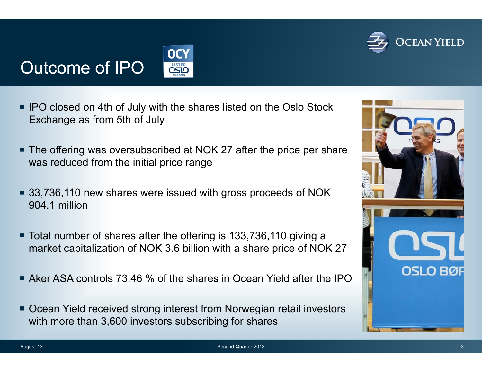# **OCEAN YIELD**

# Outcome of IPO



- **IFO closed on 4th of July with the shares listed on the Oslo Stock** Exchange as from 5th of July
- The offering was oversubscribed at NOK 27 after the price per share was reduced from the initial price range
- 33,736,110 new shares were issued with gross proceeds of NOK 904.1 million
- Total number of shares after the offering is 133,736,110 giving a market capitalization of NOK 3.6 billion with a share price of NOK 27
- Aker ASA controls 73.46 % of the shares in Ocean Yield after the IPO
- Ocean Yield received strong interest from Norwegian retail investors with more than 3,600 investors subscribing for shares

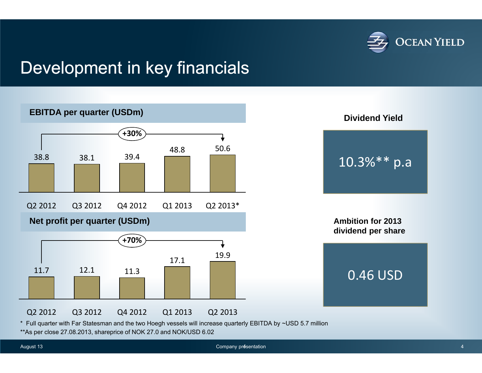

### Development in key financials



\* Full quarter with Far Statesman and the two Hoegh vessels will increase quarterly EBITDA by ~USD 5.7 million

\*\*As per close 27.08.2013, shareprice of NOK 27.0 and NOK/USD 6.02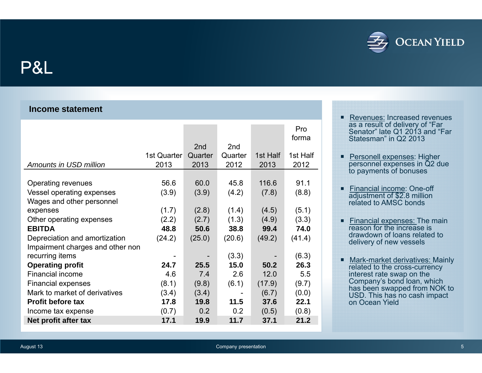

#### P&L

#### **Income statement**

|                                  |             |                 |                 |          | Pro<br>forma |
|----------------------------------|-------------|-----------------|-----------------|----------|--------------|
|                                  |             | 2 <sub>nd</sub> | 2 <sub>nd</sub> |          |              |
|                                  | 1st Quarter | Quarter         | Quarter         | 1st Half | 1st Half     |
| Amounts in USD million           | 2013        | 2013            | 2012            | 2013     | 2012         |
|                                  |             |                 |                 |          |              |
| Operating revenues               | 56.6        | 60.0            | 45.8            | 116.6    | 91.1         |
| Vessel operating expenses        | (3.9)       | (3.9)           | (4.2)           | (7.8)    | (8.8)        |
| Wages and other personnel        |             |                 |                 |          |              |
| expenses                         | (1.7)       | (2.8)           | (1.4)           | (4.5)    | (5.1)        |
| Other operating expenses         | (2.2)       | (2.7)           | (1.3)           | (4.9)    | (3.3)        |
| <b>EBITDA</b>                    | 48.8        | 50.6            | 38.8            | 99.4     | 74.0         |
| Depreciation and amortization    | (24.2)      | (25.0)          | (20.6)          | (49.2)   | (41.4)       |
| Impairment charges and other non |             |                 |                 |          |              |
| recurring items                  |             |                 | (3.3)           |          | (6.3)        |
| <b>Operating profit</b>          | 24.7        | 25.5            | 15.0            | 50.2     | 26.3         |
| Financial income                 | 4.6         | 7.4             | 2.6             | 12.0     | 5.5          |
| <b>Financial expenses</b>        | (8.1)       | (9.8)           | (6.1)           | (17.9)   | (9.7)        |
| Mark to market of derivatives    | (3.4)       | (3.4)           |                 | (6.7)    | (0.0)        |
| <b>Profit before tax</b>         | 17.8        | 19.8            | 11.5            | 37.6     | 22.1         |
| Income tax expense               | (0.7)       | 0.2             | 0.2             | (0.5)    | (0.8)        |
| Net profit after tax             | 17.1        | 19.9            | 11.7            | 37.1     | 21.2         |

- Revenues: Increased revenues as a result of delivery of "Far Senator" late Q1 2013 and "Far Statesman" in Q2 2013
- **Personell expenses: Higher** personnel expenses in Q2 due to payments of bonuses
- Financial income: One-off adjustment of \$2.8 million related to AMSC bonds
- Financial expenses: The main reason for the increase is drawdown of loans related to delivery of new vessels
- **Mark-market derivatives: Mainly** related to the cross-currency interest rate swap on the Company's bond loan, which has been swapped from NOK to USD. This has no cash impact on Ocean Yield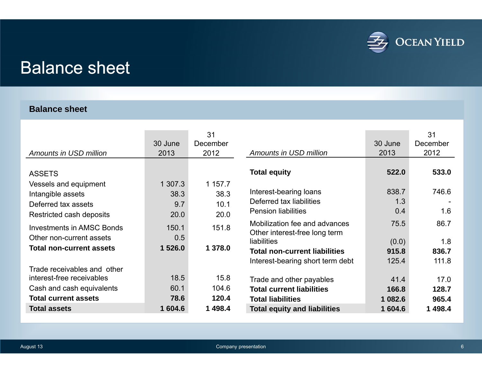

## Balance sheet

#### **Balance sheet**

| Amounts in USD million           | 30 June<br>2013 | 31<br>December<br>2012 | Amounts in USD million                                         | 30 June<br>2013 | 31<br>December<br>2012 |
|----------------------------------|-----------------|------------------------|----------------------------------------------------------------|-----------------|------------------------|
| <b>ASSETS</b>                    |                 |                        | <b>Total equity</b>                                            | 522.0           | 533.0                  |
| Vessels and equipment            | 1 307.3         | 1 157.7                |                                                                |                 |                        |
| Intangible assets                | 38.3            | 38.3                   | Interest-bearing loans                                         | 838.7           | 746.6                  |
| Deferred tax assets              | 9.7             | 10.1                   | Deferred tax liabilities                                       | 1.3             |                        |
| Restricted cash deposits         | 20.0            | 20.0                   | <b>Pension liabilities</b>                                     | 0.4             | 1.6                    |
| <b>Investments in AMSC Bonds</b> | 150.1           | 151.8                  | Mobilization fee and advances<br>Other interest-free long term | 75.5            | 86.7                   |
| Other non-current assets         | 0.5             |                        | liabilities                                                    | (0.0)           | 1.8                    |
| <b>Total non-current assets</b>  | 1 526.0         | 1 378.0                | <b>Total non-current liabilities</b>                           | 915.8           | 836.7                  |
|                                  |                 |                        | Interest-bearing short term debt                               | 125.4           | 111.8                  |
| Trade receivables and other      |                 |                        |                                                                |                 |                        |
| interest-free receivables        | 18.5            | 15.8                   | Trade and other payables                                       | 41.4            | 17.0                   |
| Cash and cash equivalents        | 60.1            | 104.6                  | <b>Total current liabilities</b>                               | 166.8           | 128.7                  |
| <b>Total current assets</b>      | 78.6            | 120.4                  | <b>Total liabilities</b>                                       | 1 082.6         | 965.4                  |
| <b>Total assets</b>              | 1 604.6         | 1498.4                 | <b>Total equity and liabilities</b>                            | 1 604.6         | 1498.4                 |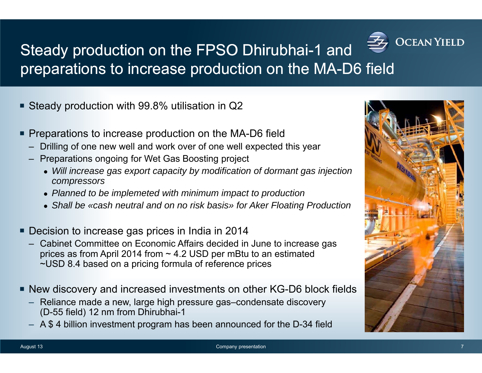# **OCEAN YIELD**

### Steady production on the FPSO Dhirubhai-1 and preparations to increase production on the MA-D6 field

- Steady production with 99.8% utilisation in Q2
- **Preparations to increase production on the MA-D6 field** 
	- Drilling of one new well and work over of one well expected this year
	- Preparations ongoing for Wet Gas Boosting project
		- *Will increase gas export capacity by modification of dormant gas injection compressors*
		- *Planned to be implemeted with minimum impact to production*
		- *Shall be «cash neutral and on no risk basis» for Aker Floating Production*
- **Decision to increase gas prices in India in 2014** 
	- Cabinet Committee on Economic Affairs decided in June to increase gas prices as from April 2014 from  $\sim$  4.2 USD per mBtu to an estimated ~USD 8.4 based on a pricing formula of reference prices
- New discovery and increased investments on other KG-D6 block fields
	- Reliance made a new, large high pressure gas–condensate discovery (D-55 field) 12 nm from Dhirubhai-1
	- A \$ 4 billion investment program has been announced for the D-34 field

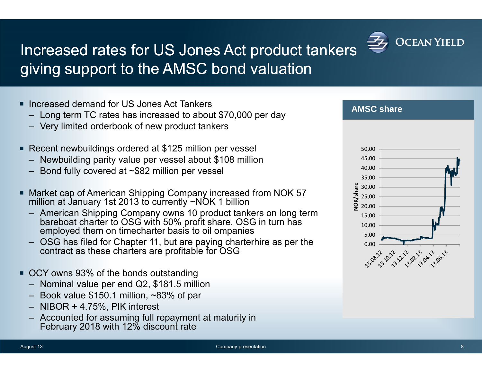

### Increased rates for US Jones Act product tankers giving support to the AMSC bond valuation

- Increased demand for US Jones Act Tankers
	- Long term TC rates has increased to about \$70,000 per day
	- Very limited orderbook of new product tankers
- Recent newbuildings ordered at \$125 million per vessel
	- Newbuilding parity value per vessel about \$108 million
	- Bond fully covered at ~\$82 million per vessel
- Market cap of American Shipping Company increased from NOK 57 million at January 1st 2013 to currently ~NOK 1 billion
	- American Shipping Company owns 10 product tankers on long term bareboat charter to OSG with 50% profit share. OSG in turn has employed them on timecharter basis to oil ompanies
	- OSG has filed for Chapter 11, but are paying charterhire as per the contract as these charters are profitable for OSG
- OCY owns 93% of the bonds outstanding
	- Nominal value per end Q2, \$181.5 million
	- Book value \$150.1 million, ~83% of par
	- NIBOR + 4.75%, PIK interest
	- Accounted for assuming full repayment at maturity in February 2018 with 12% discount rate



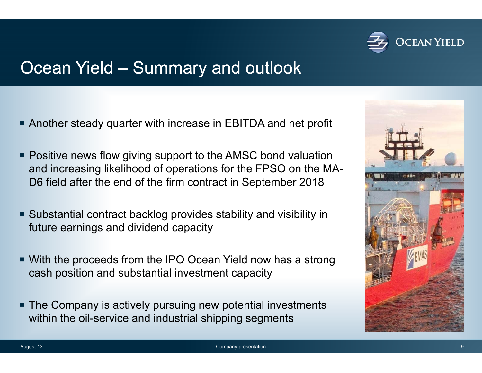

### Ocean Yield – Summary and outlook

- Another steady quarter with increase in EBITDA and net profit
- **Positive news flow giving support to the AMSC bond valuation** and increasing likelihood of operations for the FPSO on the MA-D6 field after the end of the firm contract in September 2018
- Substantial contract backlog provides stability and visibility in future earnings and dividend capacity
- With the proceeds from the IPO Ocean Yield now has a strong cash position and substantial investment capacity
- The Company is actively pursuing new potential investments within the oil-service and industrial shipping segments

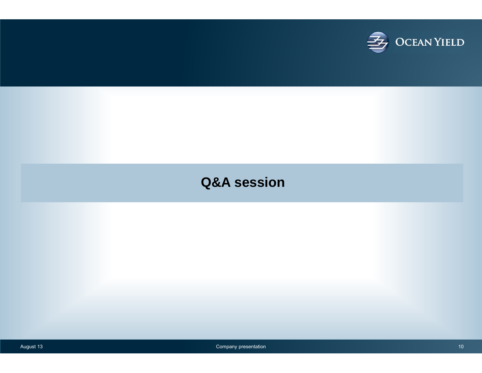

#### **Q&A session**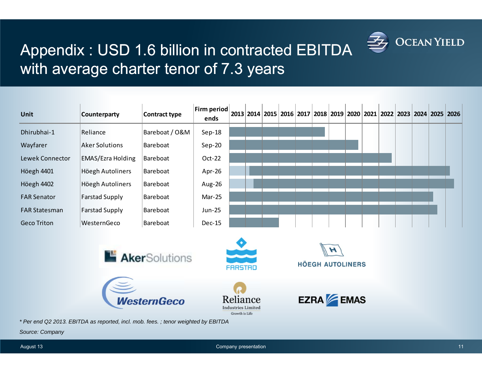

### Appendix : USD 1.6 billion in contracted EBITDA with average charter tenor of 7.3 years

| <b>Unit</b>          | <b>Counterparty</b>      | Contract type  | Firm period<br>ends |  |  |  |              |  |  |  | 2013 2014 2015 2016 2017 2018 2019 2020 2021 2022 2023 2024 2025 2026 |
|----------------------|--------------------------|----------------|---------------------|--|--|--|--------------|--|--|--|-----------------------------------------------------------------------|
| Dhirubhai-1          | Reliance                 | Bareboat / O&M | $Sep-18$            |  |  |  |              |  |  |  |                                                                       |
| Wayfarer             | <b>Aker Solutions</b>    | Bareboat       | $Sep-20$            |  |  |  |              |  |  |  |                                                                       |
| Lewek Connector      | <b>EMAS/Ezra Holding</b> | Bareboat       | $Oct-22$            |  |  |  |              |  |  |  |                                                                       |
| Höegh 4401           | Höegh Autoliners         | Bareboat       | Apr-26              |  |  |  |              |  |  |  |                                                                       |
| Höegh 4402           | Höegh Autoliners         | Bareboat       | Aug-26              |  |  |  |              |  |  |  |                                                                       |
| <b>FAR Senator</b>   | <b>Farstad Supply</b>    | Bareboat       | Mar-25              |  |  |  |              |  |  |  |                                                                       |
| <b>FAR Statesman</b> | <b>Farstad Supply</b>    | Bareboat       | Jun-25              |  |  |  |              |  |  |  |                                                                       |
| <b>Geco Triton</b>   | WesternGeco              | Bareboat       | <b>Dec-15</b>       |  |  |  |              |  |  |  |                                                                       |
|                      |                          |                |                     |  |  |  | $\mathbb{R}$ |  |  |  |                                                                       |









*\* Per end Q2 2013. EBITDA as reported, incl. mob. fees. ; tenor weighted by EBITDA* 

VesternGeco

*Source: Company*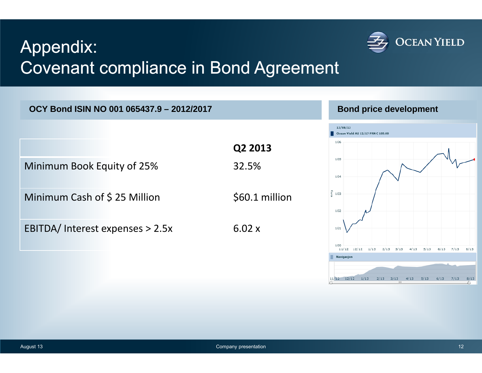# Appendix: Covenant compliance in Bond Agreement



**OCY Bond ISIN NO 001 065437.9 – 2012/2017**

#### **Bond price development**

**OCEAN YIELD** 

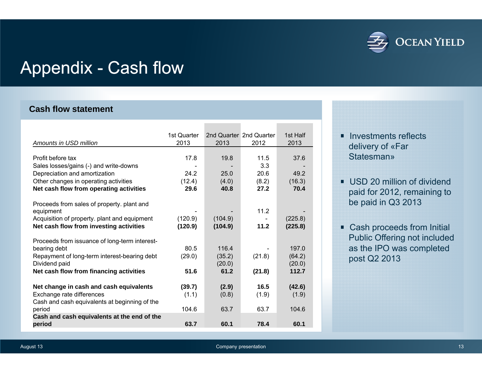

## Appendix - Cash flow

#### **Cash flow statement**

|                                                         | 1st Quarter |         | 2nd Quarter, 2nd Quarter | 1st Half |
|---------------------------------------------------------|-------------|---------|--------------------------|----------|
| Amounts in USD million                                  | 2013        | 2013    | 2012                     | 2013     |
|                                                         |             |         |                          |          |
| Profit before tax                                       | 17.8        | 19.8    | 11.5                     | 37.6     |
| Sales losses/gains (-) and write-downs                  |             |         | 3.3                      |          |
| Depreciation and amortization                           | 24.2        | 25.0    | 20.6                     | 49.2     |
| Other changes in operating activities                   | (12.4)      | (4.0)   | (8.2)                    | (16.3)   |
| Net cash flow from operating activities                 | 29.6        | 40.8    | 27.2                     | 70.4     |
|                                                         |             |         |                          |          |
| Proceeds from sales of property. plant and              |             |         |                          |          |
| equipment                                               |             |         | 11.2                     |          |
| Acquisition of property. plant and equipment            | (120.9)     | (104.9) |                          | (225.8)  |
| Net cash flow from investing activities                 | (120.9)     | (104.9) | 11.2                     | (225.8)  |
|                                                         |             |         |                          |          |
| Proceeds from issuance of long-term interest-           |             |         |                          |          |
| bearing debt                                            | 80.5        | 116.4   |                          | 197.0    |
| Repayment of long-term interest-bearing debt            | (29.0)      | (35.2)  | (21.8)                   | (64.2)   |
| Dividend paid                                           |             | (20.0)  |                          | (20.0)   |
| Net cash flow from financing activities                 | 51.6        | 61.2    | (21.8)                   | 112.7    |
|                                                         |             |         |                          |          |
| Net change in cash and cash equivalents                 | (39.7)      | (2.9)   | 16.5                     | (42.6)   |
| Exchange rate differences                               | (1.1)       | (0.8)   | (1.9)                    | (1.9)    |
| Cash and cash equivalents at beginning of the<br>period | 104.6       | 63.7    | 63.7                     | 104.6    |
| Cash and cash equivalents at the end of the             |             |         |                          |          |
| period                                                  | 63.7        | 60.1    | 78.4                     | 60.1     |
|                                                         |             |         |                          |          |

- **Investments reflects** delivery of «Far **Statesman»**
- USD 20 million of dividend paid for 2012, remaining to be paid in Q3 2013
- **Cash proceeds from Initial** Public Offering not included as the IPO was completed post Q2 2013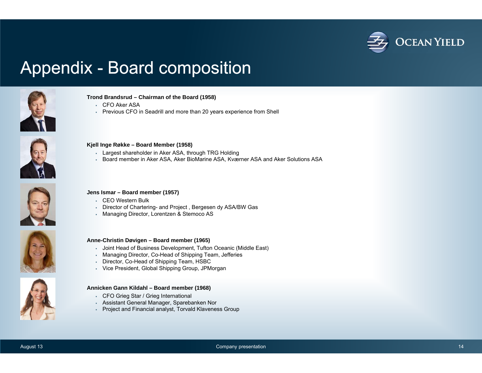

### Appendix - Board composition



#### CFO Aker ASAPrevious CFO in Seadrill and more than 20 years experience from Shell

**Trond Brandsrud – Chairman of the Board (1958)**



#### **Kjell Inge Røkke – Board Member (1958)**

- Largest shareholder in Aker ASA, through TRG Holding
- Board member in Aker ASA, Aker BioMarine ASA, Kværner ASA and Aker Solutions ASA



#### **Jens Ismar – Board member (1957)**

- CEO Western Bulk
- Director of Chartering- and Project , Bergesen dy ASA/BW Gas
- Managing Director, Lorentzen & Stemoco AS





#### **Anne-Christin Døvigen – Board member (1965)**

- Joint Head of Business Development, Tufton Oceanic (Middle East)
- Managing Director, Co-Head of Shipping Team, Jefferies
- Director, Co-Head of Shipping Team, HSBC
- Vice President, Global Shipping Group, JPMorgan

#### **Annicken Gann Kildahl – Board member (1968)**

- CFO Grieg Star / Grieg International
- Assistant General Manager, Sparebanken Nor
- Project and Financial analyst, Torvald Klaveness Group